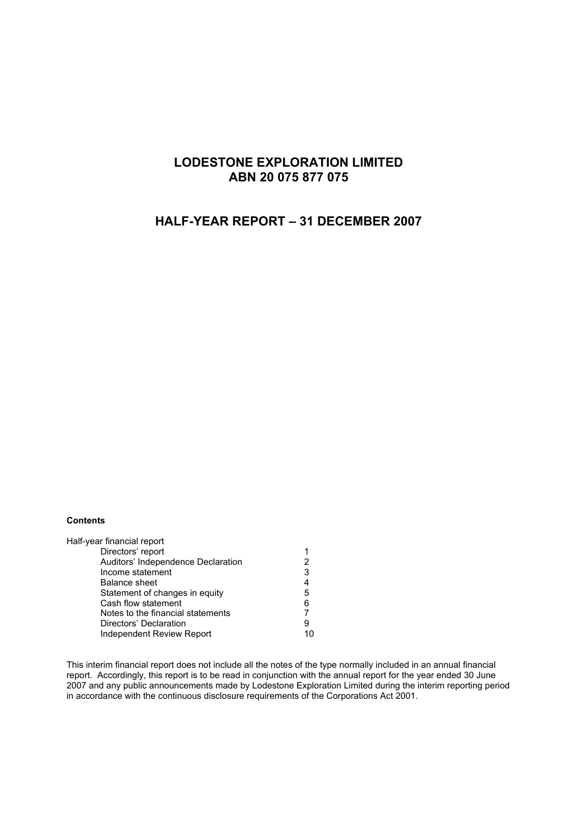## **LODESTONE EXPLORATION LIMITED ABN 20 075 877 075**

# **HALF-YEAR REPORT – 31 DECEMBER 2007**

#### **Contents**

| Half-year financial report         |   |
|------------------------------------|---|
| Directors' report                  |   |
| Auditors' Independence Declaration | 2 |
| Income statement                   | 3 |
| <b>Balance sheet</b>               | 4 |
| Statement of changes in equity     | 5 |
| Cash flow statement                | 6 |
| Notes to the financial statements  |   |
| Directors' Declaration             | 9 |
| Independent Review Report          |   |

This interim financial report does not include all the notes of the type normally included in an annual financial report. Accordingly, this report is to be read in conjunction with the annual report for the year ended 30 June 2007 and any public announcements made by Lodestone Exploration Limited during the interim reporting period in accordance with the continuous disclosure requirements of the Corporations Act 2001.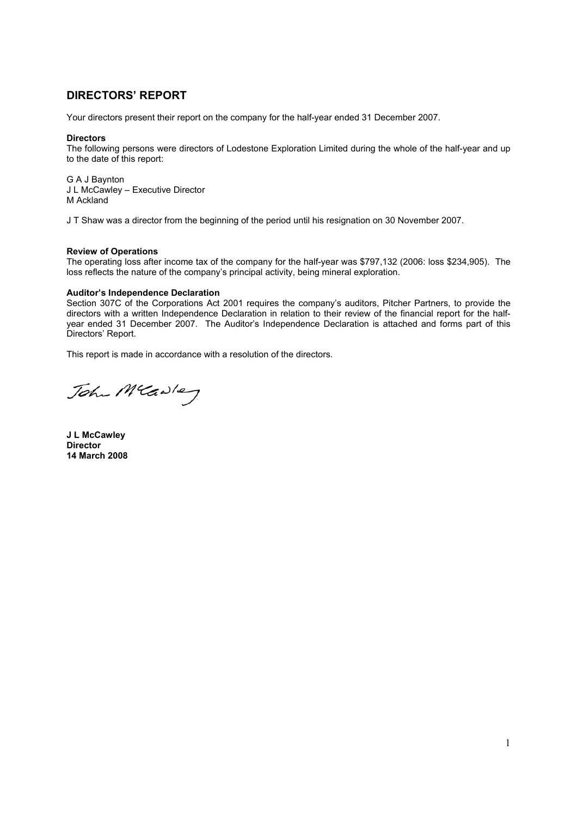## **DIRECTORS' REPORT**

Your directors present their report on the company for the half-year ended 31 December 2007.

#### **Directors**

The following persons were directors of Lodestone Exploration Limited during the whole of the half-year and up to the date of this report:

G A J Baynton J L McCawley – Executive Director M Ackland

J T Shaw was a director from the beginning of the period until his resignation on 30 November 2007.

#### **Review of Operations**

The operating loss after income tax of the company for the half-year was \$797,132 (2006: loss \$234,905). The loss reflects the nature of the company's principal activity, being mineral exploration.

#### **Auditor's Independence Declaration**

Section 307C of the Corporations Act 2001 requires the company's auditors, Pitcher Partners, to provide the directors with a written Independence Declaration in relation to their review of the financial report for the halfyear ended 31 December 2007. The Auditor's Independence Declaration is attached and forms part of this Directors' Report.

This report is made in accordance with a resolution of the directors.

John Mcawley

**J L McCawley Director 14 March 2008**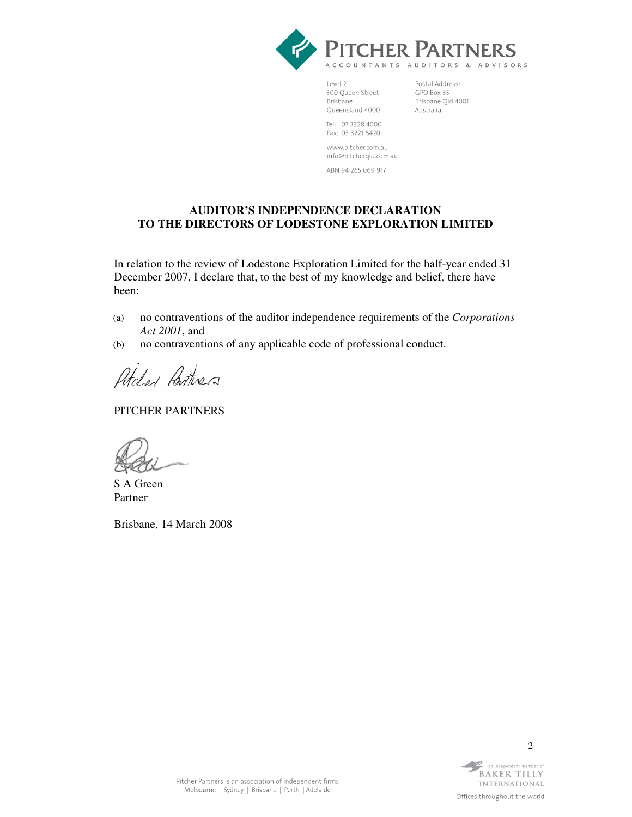

Level 21 300 Queen Street Brisbane Queensland 4000

Postal Address: GPO Box 35 Brisbane Qld 4001 Australia

Tel: 07 3228 4000 Fax: 03 3221 6420

www.pitcher.com.au info@pitcherqld.com.au

ABN 94 265 069 917

### **AUDITOR'S INDEPENDENCE DECLARATION TO THE DIRECTORS OF LODESTONE EXPLORATION LIMITED**

In relation to the review of Lodestone Exploration Limited for the half-year ended 31 December 2007, I declare that, to the best of my knowledge and belief, there have been:

- (a) no contraventions of the auditor independence requirements of the *Corporations Act 2001*, and
- (b) no contraventions of any applicable code of professional conduct.

Potcher Partinera

PITCHER PARTNERS

S A Green Partner

Brisbane, 14 March 2008

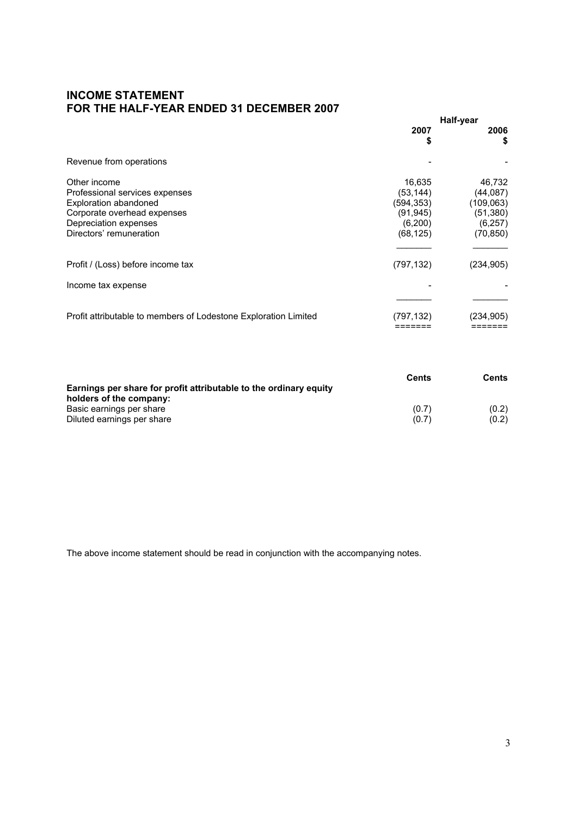## **INCOME STATEMENT FOR THE HALF-YEAR ENDED 31 DECEMBER 2007**

|                                                                                                                                                            | Half-year                                                             |                                                                        |
|------------------------------------------------------------------------------------------------------------------------------------------------------------|-----------------------------------------------------------------------|------------------------------------------------------------------------|
|                                                                                                                                                            | 2007<br>S                                                             | 2006<br>\$                                                             |
| Revenue from operations                                                                                                                                    |                                                                       |                                                                        |
| Other income<br>Professional services expenses<br>Exploration abandoned<br>Corporate overhead expenses<br>Depreciation expenses<br>Directors' remuneration | 16,635<br>(53, 144)<br>(594,353)<br>(91, 945)<br>(6,200)<br>(68, 125) | 46,732<br>(44, 087)<br>(109,063)<br>(51, 380)<br>(6, 257)<br>(70, 850) |
| Profit / (Loss) before income tax                                                                                                                          | (797, 132)                                                            | (234, 905)                                                             |
| Income tax expense                                                                                                                                         |                                                                       |                                                                        |
| Profit attributable to members of Lodestone Exploration Limited                                                                                            | (797, 132)                                                            | (234, 905)                                                             |

|                                                                   | Cents | Cents |
|-------------------------------------------------------------------|-------|-------|
| Earnings per share for profit attributable to the ordinary equity |       |       |
| holders of the company:                                           |       |       |
| Basic earnings per share                                          | (0.7) | (0.2) |
| Diluted earnings per share                                        | (0.7) | (0.2) |

The above income statement should be read in conjunction with the accompanying notes.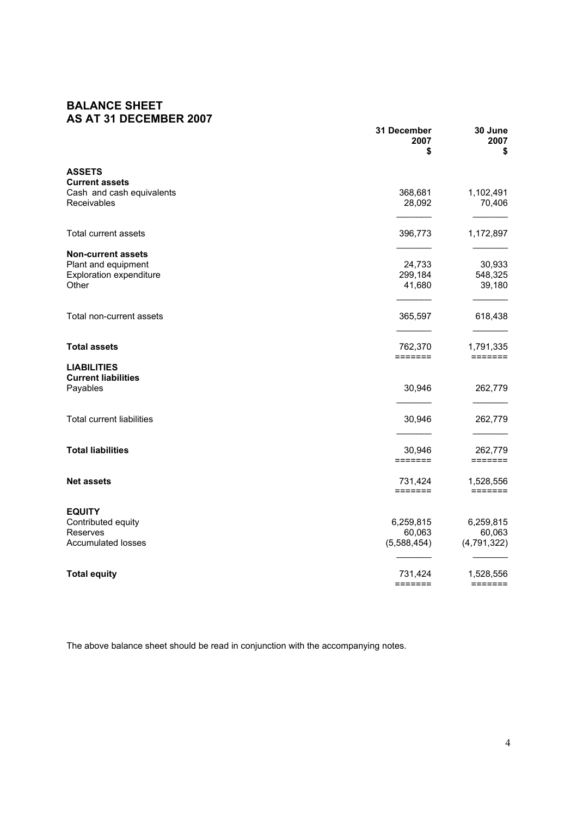## **BALANCE SHEET AS AT 31 DECEMBER 2007**

|                                          | 31 December<br>2007<br>\$ | 30 June<br>2007<br>\$                                            |
|------------------------------------------|---------------------------|------------------------------------------------------------------|
| <b>ASSETS</b>                            |                           |                                                                  |
| <b>Current assets</b>                    | 368,681                   | 1,102,491                                                        |
| Cash and cash equivalents<br>Receivables | 28,092                    | 70,406                                                           |
| Total current assets                     | 396,773                   | 1,172,897                                                        |
| <b>Non-current assets</b>                |                           |                                                                  |
| Plant and equipment                      | 24,733                    | 30,933                                                           |
| <b>Exploration expenditure</b>           | 299,184                   | 548,325                                                          |
| Other                                    | 41,680                    | 39,180                                                           |
| Total non-current assets                 | 365,597                   | 618,438                                                          |
|                                          |                           |                                                                  |
| <b>Total assets</b>                      | 762,370<br>=======        | 1,791,335<br>$=$ $=$ $=$ $=$ $=$ $=$                             |
| <b>LIABILITIES</b>                       |                           |                                                                  |
| <b>Current liabilities</b>               |                           |                                                                  |
| Payables                                 | 30,946                    | 262,779                                                          |
|                                          |                           |                                                                  |
| <b>Total current liabilities</b>         | 30,946                    | 262,779                                                          |
| <b>Total liabilities</b>                 | 30,946                    | 262,779                                                          |
|                                          | =======                   | $\qquad \qquad \equiv \equiv \equiv \equiv \equiv \equiv \equiv$ |
| <b>Net assets</b>                        | 731,424                   | 1,528,556                                                        |
|                                          | =======                   | $=$ $=$ $=$ $=$ $=$ $=$                                          |
| <b>EQUITY</b>                            |                           |                                                                  |
| Contributed equity                       | 6,259,815                 | 6,259,815                                                        |
| Reserves                                 | 60,063                    | 60,063                                                           |
| <b>Accumulated losses</b>                | (5,588,454)               | (4,791,322)                                                      |
| <b>Total equity</b>                      | 731,424                   | 1,528,556                                                        |
|                                          | $=$ $=$ $=$ $=$ $=$ $=$   | $= = = = = = = =$                                                |

The above balance sheet should be read in conjunction with the accompanying notes.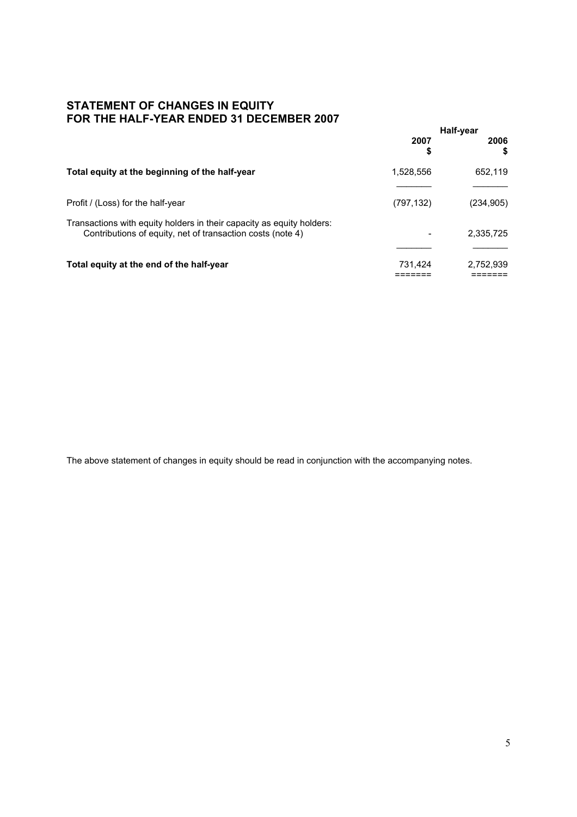### **STATEMENT OF CHANGES IN EQUITY FOR THE HALF-YEAR ENDED 31 DECEMBER 2007**

|                                                                                                                                     | Half-year  |            |
|-------------------------------------------------------------------------------------------------------------------------------------|------------|------------|
|                                                                                                                                     | 2007<br>\$ | 2006<br>S  |
| Total equity at the beginning of the half-year                                                                                      | 1,528,556  | 652,119    |
| Profit / (Loss) for the half-year                                                                                                   | (797, 132) | (234, 905) |
| Transactions with equity holders in their capacity as equity holders:<br>Contributions of equity, net of transaction costs (note 4) | -          | 2,335,725  |
| Total equity at the end of the half-year                                                                                            | 731,424    | 2,752,939  |

The above statement of changes in equity should be read in conjunction with the accompanying notes.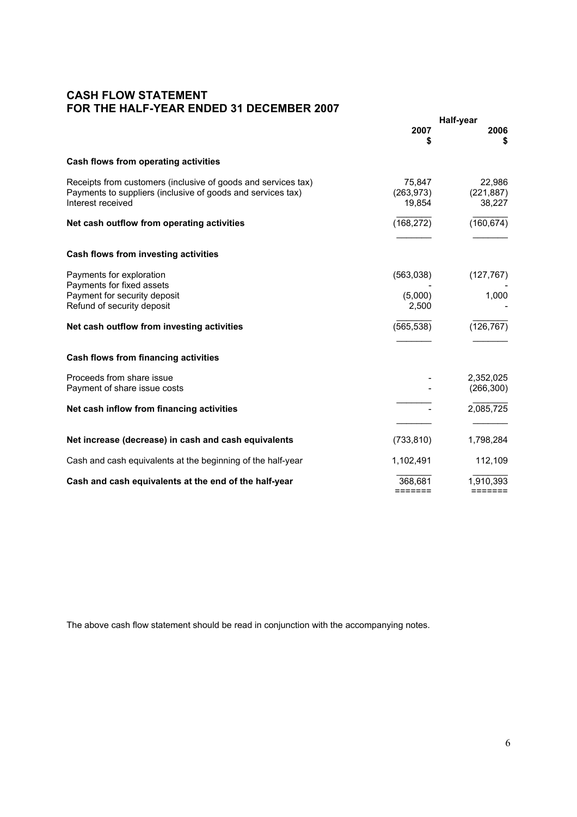## **CASH FLOW STATEMENT FOR THE HALF-YEAR ENDED 31 DECEMBER 2007**

|                                                                                                                                                   | Half-year                          |                                |
|---------------------------------------------------------------------------------------------------------------------------------------------------|------------------------------------|--------------------------------|
|                                                                                                                                                   | 2007<br>\$                         | 2006<br>\$                     |
| Cash flows from operating activities                                                                                                              |                                    |                                |
| Receipts from customers (inclusive of goods and services tax)<br>Payments to suppliers (inclusive of goods and services tax)<br>Interest received | 75,847<br>(263, 973)<br>19,854     | 22,986<br>(221, 887)<br>38,227 |
| Net cash outflow from operating activities                                                                                                        | (168, 272)                         | (160, 674)                     |
| Cash flows from investing activities                                                                                                              |                                    |                                |
| Payments for exploration                                                                                                                          | (563,038)                          | (127, 767)                     |
| Payments for fixed assets<br>Payment for security deposit<br>Refund of security deposit                                                           | (5,000)<br>2,500                   | 1,000                          |
| Net cash outflow from investing activities                                                                                                        | (565, 538)                         | (126, 767)                     |
| Cash flows from financing activities                                                                                                              |                                    |                                |
| Proceeds from share issue<br>Payment of share issue costs                                                                                         |                                    | 2,352,025<br>(266, 300)        |
| Net cash inflow from financing activities                                                                                                         |                                    | 2,085,725                      |
| Net increase (decrease) in cash and cash equivalents                                                                                              | (733, 810)                         | 1,798,284                      |
| Cash and cash equivalents at the beginning of the half-year                                                                                       | 1,102,491                          | 112,109                        |
|                                                                                                                                                   |                                    |                                |
| Cash and cash equivalents at the end of the half-year                                                                                             | 368.681<br>$=$ $=$ $=$ $=$ $=$ $=$ | 1,910,393<br>=======           |

The above cash flow statement should be read in conjunction with the accompanying notes.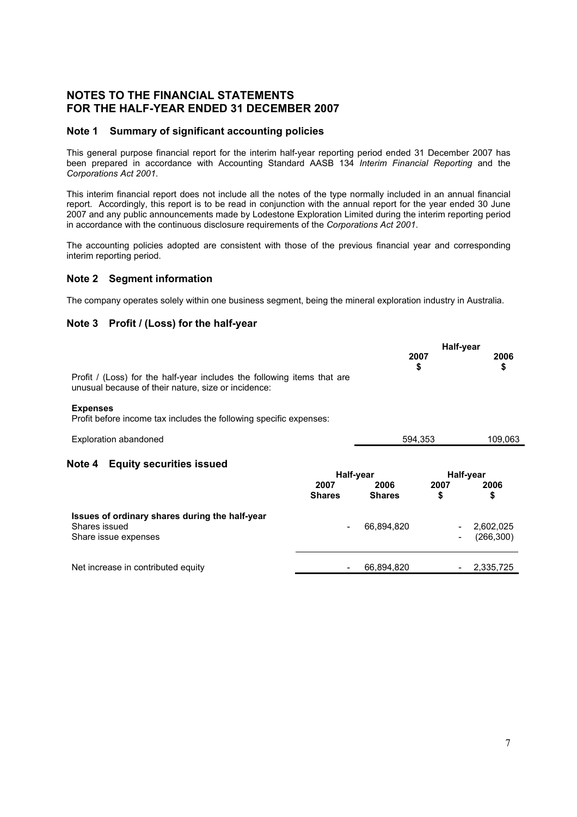### **NOTES TO THE FINANCIAL STATEMENTS FOR THE HALF-YEAR ENDED 31 DECEMBER 2007**

#### **Note 1 Summary of significant accounting policies**

This general purpose financial report for the interim half-year reporting period ended 31 December 2007 has been prepared in accordance with Accounting Standard AASB 134 *Interim Financial Reporting* and the *Corporations Act 2001*.

This interim financial report does not include all the notes of the type normally included in an annual financial report. Accordingly, this report is to be read in conjunction with the annual report for the year ended 30 June 2007 and any public announcements made by Lodestone Exploration Limited during the interim reporting period in accordance with the continuous disclosure requirements of the *Corporations Act 2001*.

The accounting policies adopted are consistent with those of the previous financial year and corresponding interim reporting period.

#### **Note 2 Segment information**

The company operates solely within one business segment, being the mineral exploration industry in Australia.

### **Note 3 Profit / (Loss) for the half-year**

|                                                                                                                                |                       | Half-year             |                          |            |  |
|--------------------------------------------------------------------------------------------------------------------------------|-----------------------|-----------------------|--------------------------|------------|--|
|                                                                                                                                |                       | 2007<br>\$            |                          | 2006<br>\$ |  |
| Profit / (Loss) for the half-year includes the following items that are<br>unusual because of their nature, size or incidence: |                       |                       |                          |            |  |
| <b>Expenses</b><br>Profit before income tax includes the following specific expenses:                                          |                       |                       |                          |            |  |
| <b>Exploration abandoned</b>                                                                                                   |                       | 594,353               |                          | 109,063    |  |
| <b>Equity securities issued</b><br>Note 4                                                                                      |                       |                       |                          |            |  |
|                                                                                                                                |                       | Half-year             |                          | Half-year  |  |
|                                                                                                                                | 2007<br><b>Shares</b> | 2006<br><b>Shares</b> | 2007<br>\$               | 2006<br>\$ |  |
| Issues of ordinary shares during the half-year<br>Shares issued                                                                |                       | 66,894,820            |                          | 2,602,025  |  |
| Share issue expenses                                                                                                           |                       |                       | $\overline{\phantom{a}}$ | (266, 300) |  |
|                                                                                                                                |                       |                       |                          |            |  |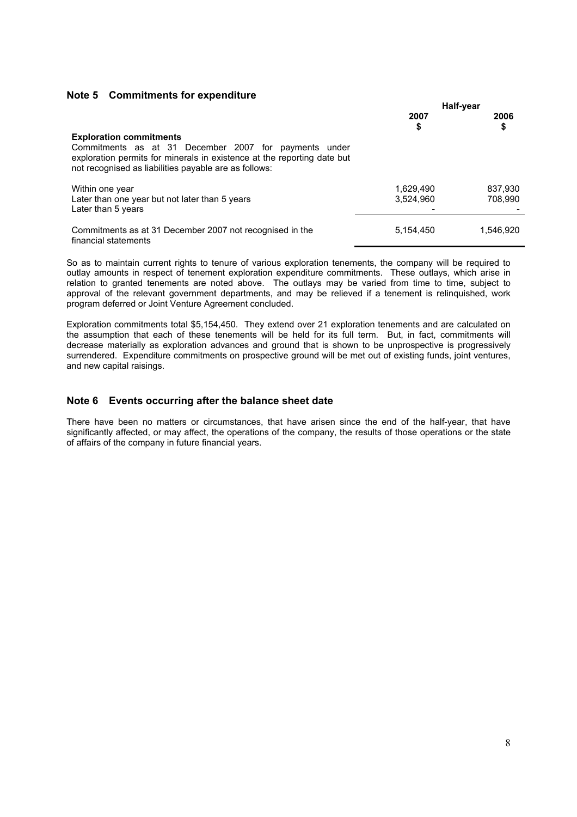#### **Note 5 Commitments for expenditure**

|                                                                                                                                                                                           | Half-year  |            |
|-------------------------------------------------------------------------------------------------------------------------------------------------------------------------------------------|------------|------------|
|                                                                                                                                                                                           | 2007<br>\$ | 2006<br>\$ |
| <b>Exploration commitments</b>                                                                                                                                                            |            |            |
| Commitments as at 31 December 2007 for payments under<br>exploration permits for minerals in existence at the reporting date but<br>not recognised as liabilities payable are as follows: |            |            |
| Within one year                                                                                                                                                                           | 1,629,490  | 837.930    |
| Later than one year but not later than 5 years                                                                                                                                            | 3,524,960  | 708.990    |
| Later than 5 years                                                                                                                                                                        |            |            |
| Commitments as at 31 December 2007 not recognised in the<br>financial statements                                                                                                          | 5,154,450  | 1,546,920  |

So as to maintain current rights to tenure of various exploration tenements, the company will be required to outlay amounts in respect of tenement exploration expenditure commitments. These outlays, which arise in relation to granted tenements are noted above. The outlays may be varied from time to time, subject to approval of the relevant government departments, and may be relieved if a tenement is relinquished, work program deferred or Joint Venture Agreement concluded.

Exploration commitments total \$5,154,450. They extend over 21 exploration tenements and are calculated on the assumption that each of these tenements will be held for its full term. But, in fact, commitments will decrease materially as exploration advances and ground that is shown to be unprospective is progressively surrendered. Expenditure commitments on prospective ground will be met out of existing funds, joint ventures, and new capital raisings.

#### **Note 6 Events occurring after the balance sheet date**

There have been no matters or circumstances, that have arisen since the end of the half-year, that have significantly affected, or may affect, the operations of the company, the results of those operations or the state of affairs of the company in future financial years.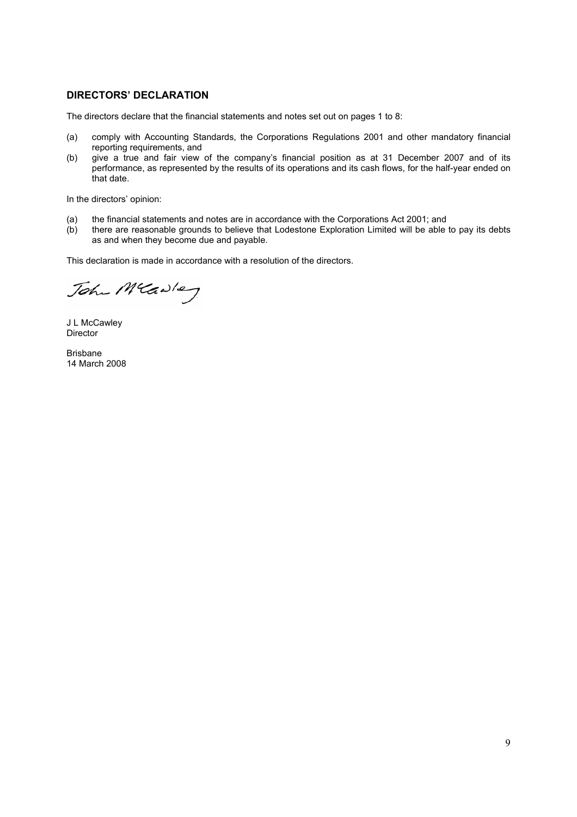#### **DIRECTORS' DECLARATION**

The directors declare that the financial statements and notes set out on pages 1 to 8:

- (a) comply with Accounting Standards, the Corporations Regulations 2001 and other mandatory financial reporting requirements, and
- (b) give a true and fair view of the company's financial position as at 31 December 2007 and of its performance, as represented by the results of its operations and its cash flows, for the half-year ended on that date.

In the directors' opinion:

- (a) the financial statements and notes are in accordance with the Corporations Act 2001; and (b) there are reasonable grounds to believe that Lodestone Exploration Limited will be able
- there are reasonable grounds to believe that Lodestone Exploration Limited will be able to pay its debts as and when they become due and payable.

This declaration is made in accordance with a resolution of the directors.

John Mcawley

J L McCawley Director

Brisbane 14 March 2008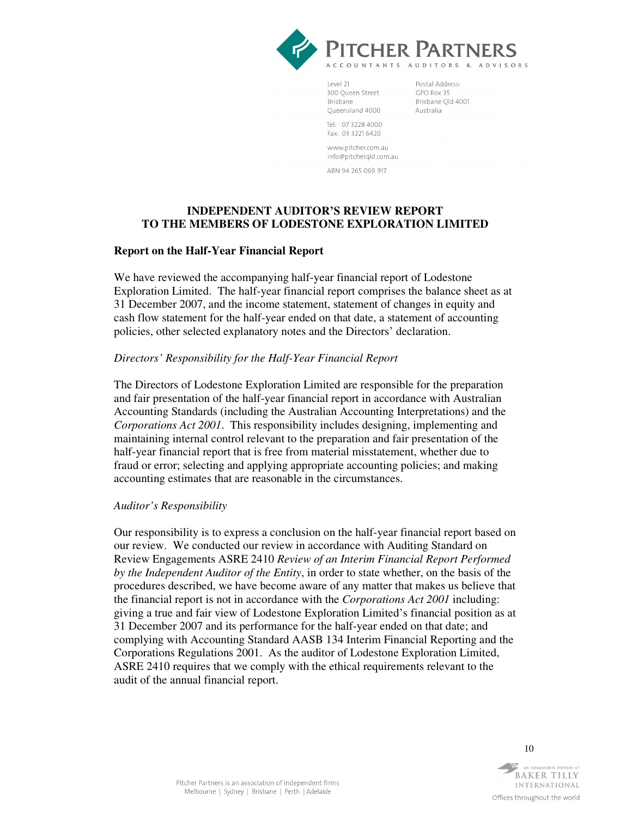

Level 21 300 Queen Street Brisbane Queensland 4000

Postal Address-GPO Box 35 Brisbane Qld 4001 Australia

Tel: 0732284000 Fax: 03 3221 6420

www.pitcher.com.au info@pitchergld.com.au

ARN 94 265 069 917

### **INDEPENDENT AUDITOR'S REVIEW REPORT TO THE MEMBERS OF LODESTONE EXPLORATION LIMITED**

#### **Report on the Half-Year Financial Report**

We have reviewed the accompanying half-year financial report of Lodestone Exploration Limited. The half-year financial report comprises the balance sheet as at 31 December 2007, and the income statement, statement of changes in equity and cash flow statement for the half-year ended on that date, a statement of accounting policies, other selected explanatory notes and the Directors' declaration.

#### *Directors' Responsibility for the Half-Year Financial Report*

The Directors of Lodestone Exploration Limited are responsible for the preparation and fair presentation of the half-year financial report in accordance with Australian Accounting Standards (including the Australian Accounting Interpretations) and the *Corporations Act 2001*. This responsibility includes designing, implementing and maintaining internal control relevant to the preparation and fair presentation of the half-year financial report that is free from material misstatement, whether due to fraud or error; selecting and applying appropriate accounting policies; and making accounting estimates that are reasonable in the circumstances.

#### *Auditor's Responsibility*

Our responsibility is to express a conclusion on the half-year financial report based on our review. We conducted our review in accordance with Auditing Standard on Review Engagements ASRE 2410 *Review of an Interim Financial Report Performed by the Independent Auditor of the Entity*, in order to state whether, on the basis of the procedures described, we have become aware of any matter that makes us believe that the financial report is not in accordance with the *Corporations Act 2001* including: giving a true and fair view of Lodestone Exploration Limited's financial position as at 31 December 2007 and its performance for the half-year ended on that date; and complying with Accounting Standard AASB 134 Interim Financial Reporting and the Corporations Regulations 2001. As the auditor of Lodestone Exploration Limited, ASRE 2410 requires that we comply with the ethical requirements relevant to the audit of the annual financial report.